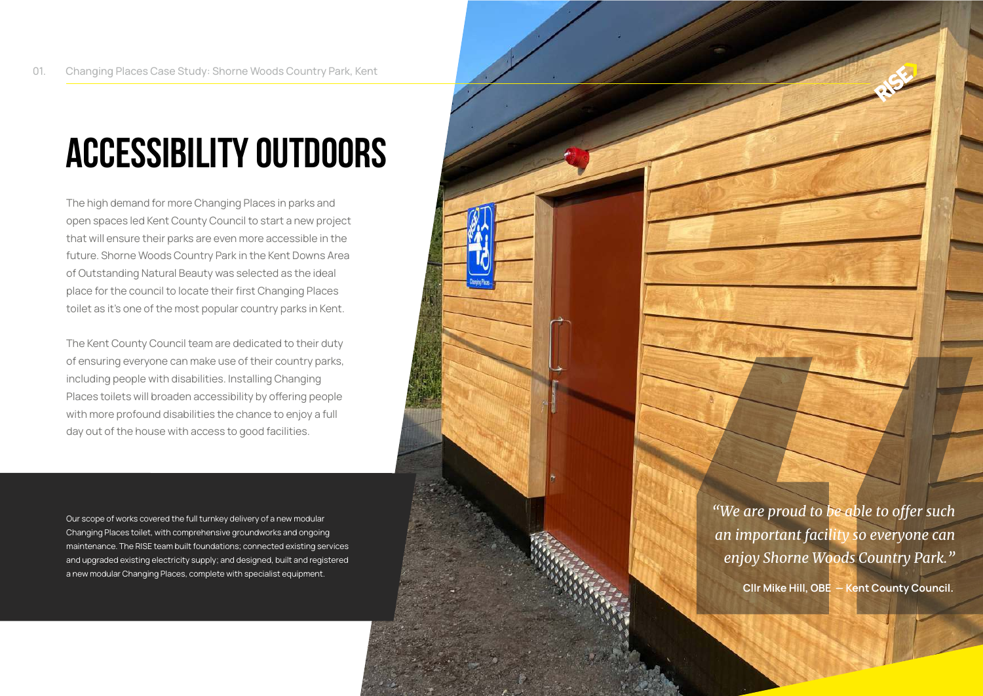## **Accessibility Outdoors**

The high demand for more Changing Places in parks and open spaces led Kent County Council to start a new project that will ensure their parks are even more accessible in the future. Shorne Woods Country Park in the Kent Downs Area of Outstanding Natural Beauty was selected as the ideal place for the council to locate their first Changing Places toilet as it's one of the most popular country parks in Kent.

The Kent County Council team are dedicated to their duty of ensuring everyone can make use of their country parks, including people with disabilities. Installing Changing Places toilets will broaden accessibility by offering people with more profound disabilities the chance to enjoy a full day out of the house with access to good facilities.

Our scope of works covered the full turnkey delivery of a new modular Changing Places toilet, with comprehensive groundworks and ongoing maintenance. The RISE team built foundations; connected existing services and upgraded existing electricity supply; and designed, built and registered a new modular Changing Places, complete with specialist equipment.

*"We are proud to be able to offer such an important facility so everyone can enjoy Shorne Woods Country Park."*

**Cllr Mike Hill, OBE — Kent County Council.**